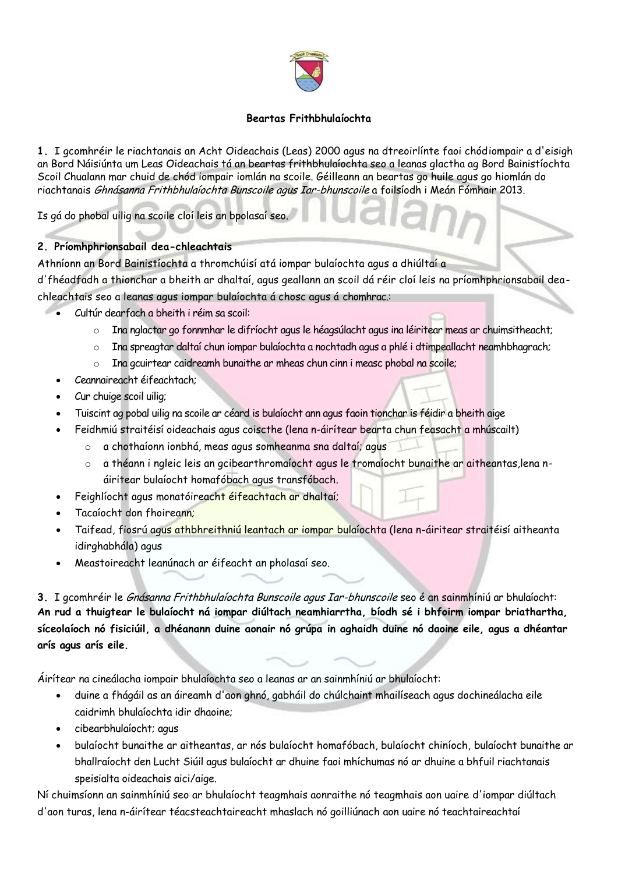

## **Beartas Frithbhulaíochta**

**1.** I gcomhréir le riachtanais an Acht Oideachais (Leas) 2000 agus na dtreoirlínte faoi chódiompair a d'eisigh an Bord Náisiúnta um Leas Oideachais tá an beartas frithbhulaíochta seo a leanas glactha ag Bord Bainistíochta Scoil Chualann mar chuid de chód iompair iomlán na scoile. Géilleann an beartas go huile agus go hiomlán do riachtanais Ghnásanna Frithbhulaíochta Bunscoile agus Iar-bhunscoile a foilsíodh i Meán Fómhair 2013.

Is gá do phobal uilig na scoile cloí leis an bpolasaí seo.

# **2. Príomhphrionsabail dea-chleachtais**

Athníonn an Bord Bainistíochta a thromchúisí atá iompar bulaíochta agus a dhiúltaí a

d'fhéadfadh a thionchar a bheith ar dhaltaí, agus geallann an scoil dá réir cloí leis na príomhphrionsabail deachleachtais seo a leanas agus iompar bulaíochta á chosc agus á chomhrac.:

- Cultúr dearfach a bheith i réim sa scoil:
	- o Ina nglactar go fonnmhar le difríocht agus le héagsúlacht agus ina léiritear meas ar chuimsitheacht;
	- o Ina spreagtar daltaí chun iompar bulaíochta a nochtadh agus a phlé i dtimpeallacht neamhbhagrach;
	- o Ina gcuirtear caidreamh bunaithe ar mheas chun cinn i measc phobal na scoile;
	- Ceannaireacht éifeachtach;
	- Cur chuige scoil uilig;
	- Tuiscint ag pobal uilig na scoile ar céard is bulaíocht ann agus faoin tionchar is féidir a bheith aige
	- Feidhmiú straitéisí oideachais agus coiscthe (lena n-áirítear bearta chun feasacht a mhúscailt)
		- o a chothaíonn ionbhá, meas agus somheanma sna daltaí; agus
		- o a théann i ngleic leis an gcibearthromaíocht agus le tromaíocht bunaithe ar aitheantas,lena náiritear bulaíocht homafóbach agus transfóbach.
	- Feighlíocht agus monatóireacht éifeachtach ar dhaltaí;
	- Tacaíocht don fhoireann;
	- Taifead, fiosrú agus athbhreithniú leantach ar iompar bulaíochta (lena n-áiritear straitéisí aitheanta idirghabhála) agus
	- Meastoireacht leanúnach ar éifeacht an pholasaí seo.

**3.** I gcomhréir le Gnásanna Frithbhulaíochta Bunscoile agus Iar-bhunscoile seo é an sainmhíniú ar bhulaíocht: **An rud a thuigtear le bulaíocht ná iompar diúltach neamhiarrtha, bíodh sé i bhfoirm iompar briathartha, síceolaíoch nó fisiciúil, a dhéanann duine aonair nó grúpa in aghaidh duine nó daoine eile, agus a dhéantar arís agus arís eile.**

Áirítear na cineálacha iompair bhulaíochta seo a leanas ar an sainmhíniú ar bhulaíocht:

- duine a fhágáil as an áireamh d'aon ghnó, gabháil do chúlchaint mhailíseach agus dochineálacha eile caidrimh bhulaíochta idir dhaoine;
- cibearbhulaíocht; agus
- bulaíocht bunaithe ar aitheantas, ar nós bulaíocht homafóbach, bulaíocht chiníoch, bulaíocht bunaithe ar bhallraíocht den Lucht Siúil agus bulaíocht ar dhuine faoi mhíchumas nó ar dhuine a bhfuil riachtanais speisialta oideachais aici/aige.

Ní chuimsíonn an sainmhíniú seo ar bhulaíocht teagmhais aonraithe nó teagmhais aon uaire d'iompar diúltach d'aon turas, lena n-áirítear téacsteachtaireacht mhaslach nó goilliúnach aon uaire nó teachtaireachtaí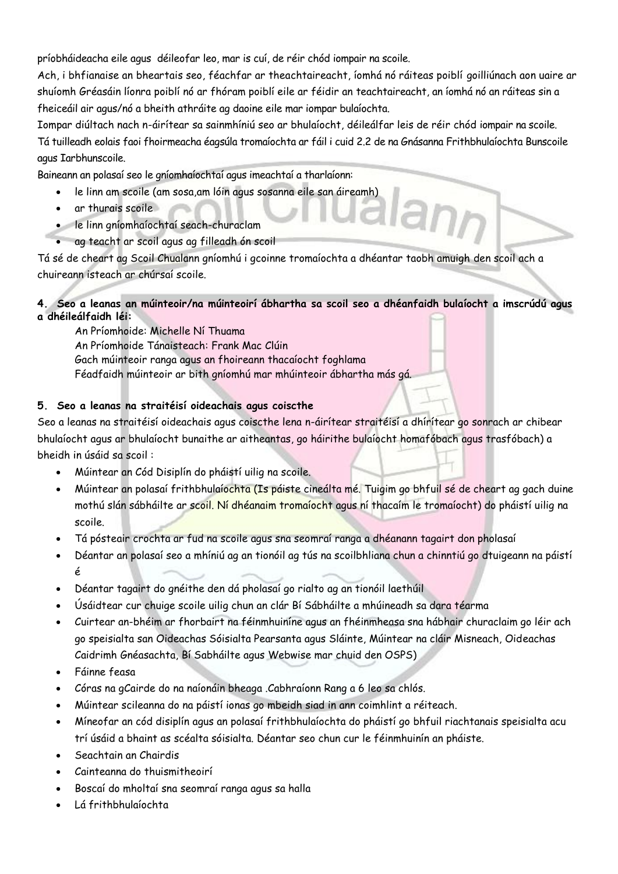príobháideacha eile agus déileofar leo, mar is cuí, de réir chód iompair na scoile.

Ach, i bhfianaise an bheartais seo, féachfar ar theachtaireacht, íomhá nó ráiteas poiblí goilliúnach aon uaire ar shuíomh Gréasáin líonra poiblí nó ar fhóram poiblí eile ar féidir an teachtaireacht, an íomhá nó an ráiteas sin a fheiceáil air agus/nó a bheith athráite ag daoine eile mar iompar bulaíochta.

Iompar diúltach nach n-áirítear sa sainmhíniú seo ar bhulaíocht, déileálfar leis de réir chód iompair na scoile. Tá tuilleadh eolais faoi fhoirmeacha éagsúla tromaíochta ar fáil i cuid 2.2 de na Gnásanna Frithbhulaíochta Bunscoile agus Iarbhunscoile.

Baineann an polasaí seo le gníomhaíochtaí agus imeachtaí a tharlaíonn:

- le linn am scoile (am sosa,am lóin agus sosanna eile san áireamh)
- ar thurais scoile
- le linn gníomhaíochtaí seach-churaclam
- ag teacht ar scoil agus ag filleadh ón scoil

Tá sé de cheart ag Scoil Chualann gníomhú i gcoinne tromaíochta a dhéantar taobh amuigh den scoil ach a chuireann isteach ar chúrsaí scoile.

## **4. Seo a leanas an múinteoir/na múinteoirí ábhartha sa scoil seo a dhéanfaidh bulaíocht a imscrúdú agus a dhéileálfaidh léi:**

An Príomhoide: Michelle Ní Thuama An Príomhoide Tánaisteach: Frank Mac Clúin Gach múinteoir ranga agus an fhoireann thacaíocht foghlama Féadfaidh múinteoir ar bith gníomhú mar mhúinteoir ábhartha más gá.

# **5. Seo a leanas na straitéisí oideachais agus coiscthe**

Seo a leanas na straitéisí oideachais agus coiscthe lena n-áirítear straitéisí a dhírítear go sonrach ar chibear bhulaíocht agus ar bhulaíocht bunaithe ar aitheantas, go háirithe bulaíocht homafóbach agus trasfóbach) a bheidh in úsáid sa scoil :

- Múintear an Cód Disiplín do pháistí uilig na scoile.
- Múintear an polasaí frithbhulaíochta (Is páiste cineálta mé. Tuigim go bhfuil sé de cheart ag gach duine mothú slán sábháilte ar scoil. Ní dhéanaim tromaíocht agus ní thacaím le tromaíocht) do pháistí uilig na scoile.
- Tá pósteair crochta ar fud na scoile agus sna seomraí ranga a dhéanann tagairt don pholasaí
- Déantar an polasaí seo a mhíniú ag an tionóil ag tús na scoilbhliana chun a chinntiú go dtuigeann na páistí é
- Déantar tagairt do gnéithe den dá pholasaí go rialto ag an tionóil laethúil
- Úsáidtear cur chuige scoile uilig chun an clár Bí Sábháilte a mhúineadh sa dara téarma
- Cuirtear an-bhéim ar fhorbairt na féinmhuiníne agus an fhéinmheasa sna hábhair churaclaim go léir ach go speisialta san Oideachas Sóisialta Pearsanta agus Sláinte, Múintear na cláir Misneach, Oideachas Caidrimh Gnéasachta, Bí Sabháilte agus Webwise mar chuid den OSPS)
- Fáinne feasa
- Córas na gCairde do na naíonáin bheaga .Cabhraíonn Rang a 6 leo sa chlós.
- Múintear scileanna do na páistí ionas go mbeidh siad in ann coimhlint a réiteach.
- Míneofar an cód disiplín agus an polasaí frithbhulaíochta do pháistí go bhfuil riachtanais speisialta acu trí úsáid a bhaint as scéalta sóisialta. Déantar seo chun cur le féinmhuinín an pháiste.
- Seachtain an Chairdis
- Cainteanna do thuismitheoirí
- Boscaí do mholtaí sna seomraí ranga agus sa halla
- Lá frithbhulaíochta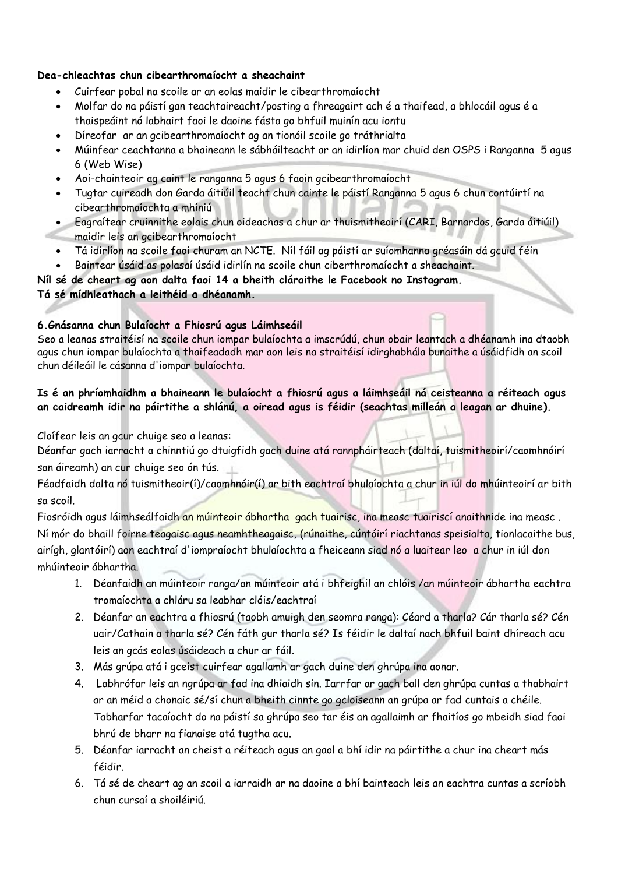#### **Dea-chleachtas chun cibearthromaíocht a sheachaint**

- Cuirfear pobal na scoile ar an eolas maidir le cibearthromaíocht
- Molfar do na páistí gan teachtaireacht/posting a fhreagairt ach é a thaifead, a bhlocáil agus é a thaispeáint nó labhairt faoi le daoine fásta go bhfuil muinín acu iontu
- Díreofar ar an gcibearthromaíocht ag an tionóil scoile go tráthrialta
- Múinfear ceachtanna a bhaineann le sábháilteacht ar an idirlíon mar chuid den OSPS i Ranganna 5 agus 6 (Web Wise)
- Aoi-chainteoir ag caint le ranganna 5 agus 6 faoin gcibearthromaíocht
- Tugtar cuireadh don Garda áitiúil teacht chun cainte le páistí Ranganna 5 agus 6 chun contúirtí na cibearthromaíochta a mhíniú
- Eagraítear cruinnithe eolais chun oideachas a chur ar thuismitheoirí (CARI, Barnardos, Garda áitiúil) maidir leis an gcibearthromaíocht
- Tá idirlíon na scoile faoi churam an NCTE. Níl fáil ag páistí ar suíomhanna gréasáin dá gcuid féin
- Baintear úsáid as polasaí úsáid idirlín na scoile chun ciberthromaíocht a sheachaint.

**Níl sé de cheart ag aon dalta faoi 14 a bheith cláraithe le Facebook no Instagram.**

# **Tá sé mídhleathach a leithéid a dhéanamh.**

#### **6.Gnásanna chun Bulaíocht a Fhiosrú agus Láimhseáil**

Seo a leanas straitéisí na scoile chun iompar bulaíochta a imscrúdú, chun obair leantach a dhéanamh ina dtaobh agus chun iompar bulaíochta a thaifeadadh mar aon leis na straitéisí idirghabhála bunaithe a úsáidfidh an scoil chun déileáil le cásanna d'iompar bulaíochta.

## **Is é an phríomhaidhm a bhaineann le bulaíocht a fhiosrú agus a láimhseáil ná ceisteanna a réiteach agus an caidreamh idir na páirtithe a shlánú, a oiread agus is féidir (seachtas milleán a leagan ar dhuine).**

Cloífear leis an gcur chuige seo a leanas:

Déanfar gach iarracht a chinntiú go dtuigfidh gach duine atá rannpháirteach (daltaí, tuismitheoirí/caomhnóirí san áireamh) an cur chuige seo ón tús.

Féadfaidh dalta nó tuismitheoir(í)/caomhnóir(í) ar bith eachtraí bhulaíochta a chur in iúl do mhúinteoirí ar bith sa scoil.

Fiosróidh agus láimhseálfaidh an múinteoir ábhartha gach tuairisc, ina measc tuairiscí anaithnide ina measc. Ní mór do bhaill foirne teagaisc agus neamhtheagaisc, (rúnaithe, cúntóirí riachtanas speisialta, tionlacaithe bus, airígh, glantóirí) aon eachtraí d'iompraíocht bhulaíochta a fheiceann siad nó a luaitear leo a chur in iúl don mhúinteoir ábhartha.

- 1. Déanfaidh an múinteoir ranga/an múinteoir atá i bhfeighil an chlóis /an múinteoir ábhartha eachtra tromaíochta a chláru sa leabhar clóis/eachtraí
- 2. Déanfar an eachtra a fhiosrú (taobh amuigh den seomra ranga): Céard a tharla? Cár tharla sé? Cén uair/Cathain a tharla sé? Cén fáth gur tharla sé? Is féidir le daltaí nach bhfuil baint dhíreach acu leis an gcás eolas úsáideach a chur ar fáil.
- 3. Más grúpa atá i gceist cuirfear agallamh ar gach duine den ghrúpa ina aonar.
- 4. Labhrófar leis an ngrúpa ar fad ina dhiaidh sin. Iarrfar ar gach ball den ghrúpa cuntas a thabhairt ar an méid a chonaic sé/sí chun a bheith cinnte go gcloiseann an grúpa ar fad cuntais a chéile. Tabharfar tacaíocht do na páistí sa ghrúpa seo tar éis an agallaimh ar fhaitíos go mbeidh siad faoi bhrú de bharr na fianaise atá tugtha acu.
- 5. Déanfar iarracht an cheist a réiteach agus an gaol a bhí idir na páirtithe a chur ina cheart más féidir.
- 6. Tá sé de cheart ag an scoil a iarraidh ar na daoine a bhí bainteach leis an eachtra cuntas a scríobh chun cursaí a shoiléiriú.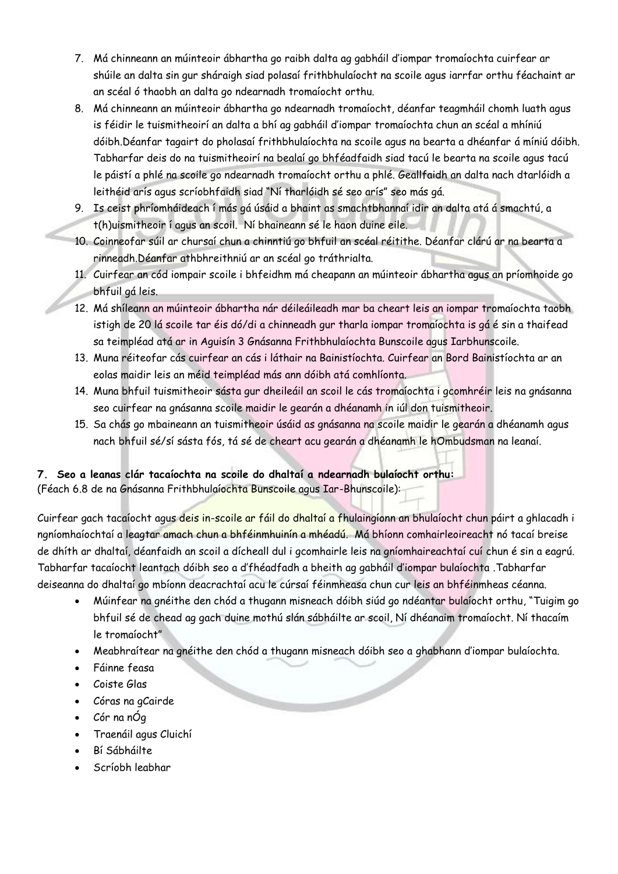- 7. Má chinneann an múinteoir ábhartha go raibh dalta ag gabháil d'iompar tromaíochta cuirfear ar shúile an dalta sin gur sháraigh siad polasaí frithbhulaíocht na scoile agus iarrfar orthu féachaint ar an scéal ó thaobh an dalta go ndearnadh tromaíocht orthu.
- 8. Má chinneann an múinteoir ábhartha go ndearnadh tromaíocht, déanfar teagmháil chomh luath agus is féidir le tuismitheoirí an dalta a bhí ag gabháil d'iompar tromaíochta chun an scéal a mhíniú dóibh.Déanfar tagairt do pholasaí frithbhulaíochta na scoile agus na bearta a dhéanfar á míniú dóibh. Tabharfar deis do na tuismitheoirí na bealaí go bhféadfaidh siad tacú le bearta na scoile agus tacú le páistí a phlé na scoile go ndearnadh tromaíocht orthu a phlé. Geallfaidh an dalta nach dtarlóidh a leithéid arís agus scríobhfaidh siad "Ní tharlóidh sé seo arís" seo más gá.
- 9. Is ceist phríomháideach í más gá úsáid a bhaint as smachtbhannaí idir an dalta atá á smachtú, a t(h)uismitheoir í agus an scoil. Ní bhaineann sé le haon duine eile.
- 10. Coinneofar súil ar chursaí chun a chinntiú go bhfuil an scéal réitithe. Déanfar clárú ar na bearta a rinneadh.Déanfar athbhreithniú ar an scéal go tráthrialta.
- 11. Cuirfear an cód iompair scoile i bhfeidhm má cheapann an múinteoir ábhartha agus an príomhoide go bhfuil gá leis.
- 12. Má shíleann an múinteoir ábhartha nár déileáileadh mar ba cheart leis an iompar tromaíochta taobh istigh de 20 lá scoile tar éis dó/di a chinneadh gur tharla iompar tromaíochta is gá é sin a thaifead sa teimpléad atá ar in Aguisín 3 Gnásanna Frithbhulaíochta Bunscoile agus Iarbhunscoile.
- 13. Muna réiteofar cás cuirfear an cás i láthair na Bainistíochta. Cuirfear an Bord Bainistíochta ar an eolas maidir leis an méid teimpléad más ann dóibh atá comhlíonta.
- 14. Muna bhfuil tuismitheoir sásta gur dheileáil an scoil le cás tromaíochta i gcomhréir leis na gnásanna seo cuirfear na gnásanna scoile maidir le gearán a dhéanamh in iúl don tuismitheoir.
- 15. Sa chás go mbaineann an tuismitheoir úsáid as gnásanna na scoile maidir le gearán a dhéanamh agus nach bhfuil sé/sí sásta fós, tá sé de cheart acu gearán a dhéanamh le hOmbudsman na leanaí.

# **7. Seo a leanas clár tacaíochta na scoile do dhaltaí a ndearnadh bulaíocht orthu:**  (Féach 6.8 de na Gnásanna Frithbhulaíochta Bunscoile agus Iar-Bhunscoile):

Cuirfear gach tacaíocht agus deis in-scoile ar fáil do dhaltaí a fhulaingíonn an bhulaíocht chun páirt a ghlacadh i ngníomhaíochtaí a leagtar amach chun a bhféinmhuinín a mhéadú. Má bhíonn comhairleoireacht nó tacaí breise de dhíth ar dhaltaí, déanfaidh an scoil a dícheall dul i gcomhairle leis na gníomhaireachtaí cuí chun é sin a eagrú. Tabharfar tacaíocht leantach dóibh seo a d'fhéadfadh a bheith ag gabháil d'iompar bulaíochta .Tabharfar deiseanna do dhaltaí go mbíonn deacrachtaí acu le cúrsaí féinmheasa chun cur leis an bhféinmheas céanna.

- Múinfear na gnéithe den chód a thugann misneach dóibh siúd go ndéantar bulaíocht orthu, "Tuigim go bhfuil sé de chead ag gach duine mothú slán sábháilte ar scoil, Ní dhéanaim tromaíocht. Ní thacaím le tromaíocht"
- Meabhraítear na gnéithe den chód a thugann misneach dóibh seo a ghabhann d'iompar bulaíochta.
- Fáinne feasa
- Coiste Glas
- Córas na gCairde
- Cór na nÓg
- Traenáil agus Cluichí
- Bí Sábháilte
- Scríobh leabhar